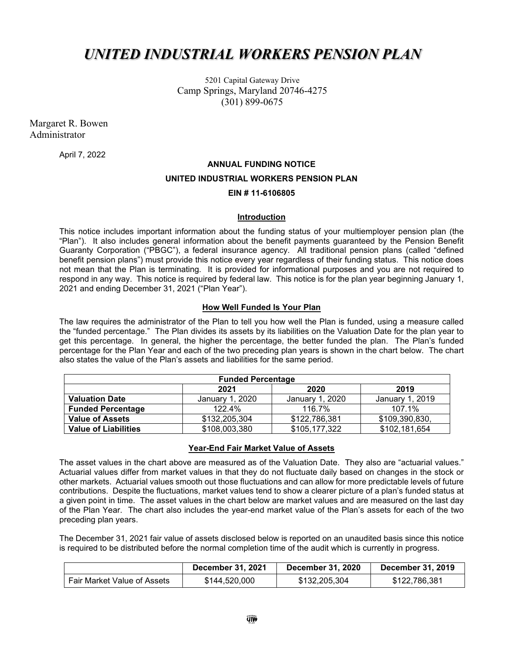# *UNITED INDUSTRIAL WORKERS PENSION PLAN*

5201 Capital Gateway Drive Camp Springs, Maryland 20746-4275 (301) 899-0675

Margaret R. Bowen Administrator

April 7, 2022

# **ANNUAL FUNDING NOTICE UNITED INDUSTRIAL WORKERS PENSION PLAN EIN # 11-6106805**

#### **Introduction**

This notice includes important information about the funding status of your multiemployer pension plan (the "Plan"). It also includes general information about the benefit payments guaranteed by the Pension Benefit Guaranty Corporation ("PBGC"), a federal insurance agency. All traditional pension plans (called "defined benefit pension plans") must provide this notice every year regardless of their funding status. This notice does not mean that the Plan is terminating. It is provided for informational purposes and you are not required to respond in any way. This notice is required by federal law. This notice is for the plan year beginning January 1, 2021 and ending December 31, 2021 ("Plan Year").

# **How Well Funded Is Your Plan**

The law requires the administrator of the Plan to tell you how well the Plan is funded, using a measure called the "funded percentage." The Plan divides its assets by its liabilities on the Valuation Date for the plan year to get this percentage. In general, the higher the percentage, the better funded the plan. The Plan's funded percentage for the Plan Year and each of the two preceding plan years is shown in the chart below. The chart also states the value of the Plan's assets and liabilities for the same period.

| <b>Funded Percentage</b>    |                 |                 |                 |  |  |
|-----------------------------|-----------------|-----------------|-----------------|--|--|
|                             | 2021            | 2020            | 2019            |  |  |
| <b>Valuation Date</b>       | January 1, 2020 | January 1, 2020 | January 1, 2019 |  |  |
| <b>Funded Percentage</b>    | 122.4%          | 116.7%          | 107.1%          |  |  |
| <b>Value of Assets</b>      | \$132,205,304   | \$122,786,381   | \$109,390,830,  |  |  |
| <b>Value of Liabilities</b> | \$108,003,380   | \$105,177,322   | \$102,181,654   |  |  |

# **Year-End Fair Market Value of Assets**

The asset values in the chart above are measured as of the Valuation Date. They also are "actuarial values." Actuarial values differ from market values in that they do not fluctuate daily based on changes in the stock or other markets. Actuarial values smooth out those fluctuations and can allow for more predictable levels of future contributions. Despite the fluctuations, market values tend to show a clearer picture of a plan's funded status at a given point in time. The asset values in the chart below are market values and are measured on the last day of the Plan Year. The chart also includes the year-end market value of the Plan's assets for each of the two preceding plan years.

The December 31, 2021 fair value of assets disclosed below is reported on an unaudited basis since this notice is required to be distributed before the normal completion time of the audit which is currently in progress.

|                             | <b>December 31, 2021</b> | <b>December 31, 2020</b> | <b>December 31, 2019</b> |
|-----------------------------|--------------------------|--------------------------|--------------------------|
| Fair Market Value of Assets | \$144,520,000            | \$132,205,304            | \$122,786,381            |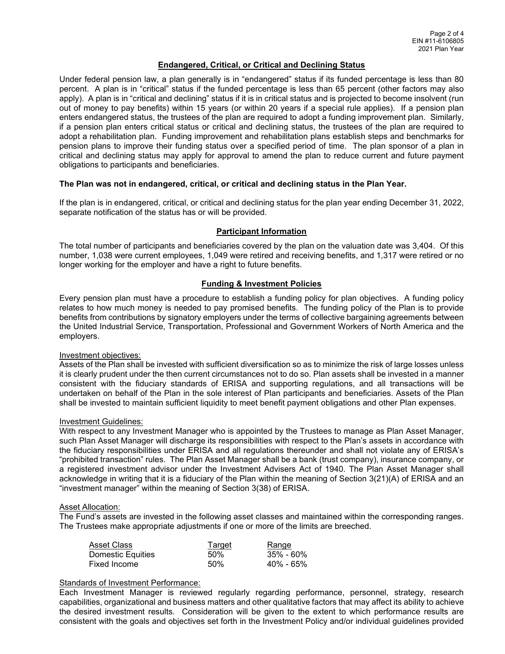# **Endangered, Critical, or Critical and Declining Status**

Under federal pension law, a plan generally is in "endangered" status if its funded percentage is less than 80 percent. A plan is in "critical" status if the funded percentage is less than 65 percent (other factors may also apply). A plan is in "critical and declining" status if it is in critical status and is projected to become insolvent (run out of money to pay benefits) within 15 years (or within 20 years if a special rule applies). If a pension plan enters endangered status, the trustees of the plan are required to adopt a funding improvement plan. Similarly, if a pension plan enters critical status or critical and declining status, the trustees of the plan are required to adopt a rehabilitation plan. Funding improvement and rehabilitation plans establish steps and benchmarks for pension plans to improve their funding status over a specified period of time. The plan sponsor of a plan in critical and declining status may apply for approval to amend the plan to reduce current and future payment obligations to participants and beneficiaries.

#### **The Plan was not in endangered, critical, or critical and declining status in the Plan Year.**

If the plan is in endangered, critical, or critical and declining status for the plan year ending December 31, 2022, separate notification of the status has or will be provided.

#### **Participant Information**

The total number of participants and beneficiaries covered by the plan on the valuation date was 3,404. Of this number, 1,038 were current employees, 1,049 were retired and receiving benefits, and 1,317 were retired or no longer working for the employer and have a right to future benefits.

# **Funding & Investment Policies**

Every pension plan must have a procedure to establish a funding policy for plan objectives. A funding policy relates to how much money is needed to pay promised benefits. The funding policy of the Plan is to provide benefits from contributions by signatory employers under the terms of collective bargaining agreements between the United Industrial Service, Transportation, Professional and Government Workers of North America and the employers.

#### Investment objectives:

Assets of the Plan shall be invested with sufficient diversification so as to minimize the risk of large losses unless it is clearly prudent under the then current circumstances not to do so. Plan assets shall be invested in a manner consistent with the fiduciary standards of ERISA and supporting regulations, and all transactions will be undertaken on behalf of the Plan in the sole interest of Plan participants and beneficiaries. Assets of the Plan shall be invested to maintain sufficient liquidity to meet benefit payment obligations and other Plan expenses.

#### Investment Guidelines:

With respect to any Investment Manager who is appointed by the Trustees to manage as Plan Asset Manager, such Plan Asset Manager will discharge its responsibilities with respect to the Plan's assets in accordance with the fiduciary responsibilities under ERISA and all regulations thereunder and shall not violate any of ERISA's "prohibited transaction" rules. The Plan Asset Manager shall be a bank (trust company), insurance company, or a registered investment advisor under the Investment Advisers Act of 1940. The Plan Asset Manager shall acknowledge in writing that it is a fiduciary of the Plan within the meaning of Section 3(21)(A) of ERISA and an "investment manager" within the meaning of Section 3(38) of ERISA.

#### Asset Allocation:

The Fund's assets are invested in the following asset classes and maintained within the corresponding ranges. The Trustees make appropriate adjustments if one or more of the limits are breeched.

| Asset Class       | <u>Target</u> | <u>Range</u> |
|-------------------|---------------|--------------|
| Domestic Equities | .50%          | 35% - 60%    |
| Fixed Income      | 50%           | 40% - 65%    |

## Standards of Investment Performance:

Each Investment Manager is reviewed regularly regarding performance, personnel, strategy, research capabilities, organizational and business matters and other qualitative factors that may affect its ability to achieve the desired investment results. Consideration will be given to the extent to which performance results are consistent with the goals and objectives set forth in the Investment Policy and/or individual guidelines provided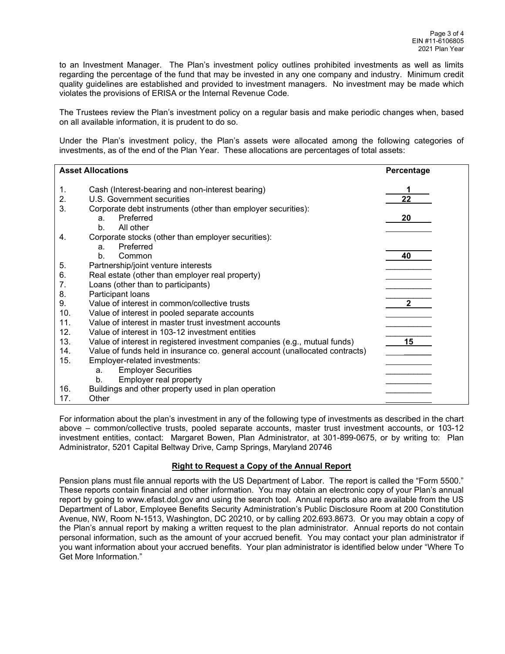to an Investment Manager. The Plan's investment policy outlines prohibited investments as well as limits regarding the percentage of the fund that may be invested in any one company and industry. Minimum credit quality guidelines are established and provided to investment managers. No investment may be made which violates the provisions of ERISA or the Internal Revenue Code.

The Trustees review the Plan's investment policy on a regular basis and make periodic changes when, based on all available information, it is prudent to do so.

Under the Plan's investment policy, the Plan's assets were allocated among the following categories of investments, as of the end of the Plan Year. These allocations are percentages of total assets:

| <b>Asset Allocations</b> |                                                                              | Percentage   |
|--------------------------|------------------------------------------------------------------------------|--------------|
|                          |                                                                              |              |
| 1.                       | Cash (Interest-bearing and non-interest bearing)                             |              |
| 2.                       | U.S. Government securities                                                   | 22           |
| 3.                       | Corporate debt instruments (other than employer securities):                 |              |
|                          | Preferred<br>a <sub>1</sub>                                                  | 20           |
|                          | b.<br>All other                                                              |              |
| 4.                       | Corporate stocks (other than employer securities):                           |              |
|                          | Preferred<br>a <sub>z</sub>                                                  |              |
|                          | Common<br>b.                                                                 | 40           |
| 5.                       | Partnership/joint venture interests                                          |              |
| 6.                       | Real estate (other than employer real property)                              |              |
| 7.                       | Loans (other than to participants)                                           |              |
| 8.                       | Participant loans                                                            |              |
| 9.                       | Value of interest in common/collective trusts                                | $\mathbf{2}$ |
| 10.                      | Value of interest in pooled separate accounts                                |              |
| 11.                      | Value of interest in master trust investment accounts                        |              |
| 12.                      | Value of interest in 103-12 investment entities                              |              |
| 13.                      | Value of interest in registered investment companies (e.g., mutual funds)    | 15           |
| 14.                      | Value of funds held in insurance co. general account (unallocated contracts) |              |
| 15.                      | Employer-related investments:                                                |              |
|                          | <b>Employer Securities</b><br>a.                                             |              |
|                          | Employer real property<br>b.                                                 |              |
| 16.                      | Buildings and other property used in plan operation                          |              |
| 17.                      | Other                                                                        |              |

For information about the plan's investment in any of the following type of investments as described in the chart above – common/collective trusts, pooled separate accounts, master trust investment accounts, or 103-12 investment entities, contact: Margaret Bowen, Plan Administrator, at 301-899-0675, or by writing to: Plan Administrator, 5201 Capital Beltway Drive, Camp Springs, Maryland 20746

# **Right to Request a Copy of the Annual Report**

Pension plans must file annual reports with the US Department of Labor. The report is called the "Form 5500." These reports contain financial and other information. You may obtain an electronic copy of your Plan's annual report by going to www.efast.dol.gov and using the search tool. Annual reports also are available from the US Department of Labor, Employee Benefits Security Administration's Public Disclosure Room at 200 Constitution Avenue, NW, Room N-1513, Washington, DC 20210, or by calling 202.693.8673. Or you may obtain a copy of the Plan's annual report by making a written request to the plan administrator. Annual reports do not contain personal information, such as the amount of your accrued benefit. You may contact your plan administrator if you want information about your accrued benefits. Your plan administrator is identified below under "Where To Get More Information."